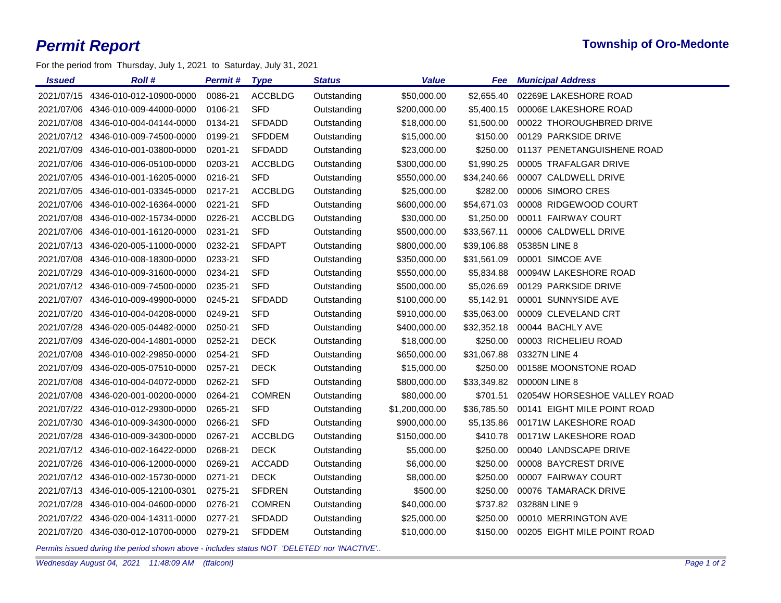For the period from Thursday, July 1, 2021 to Saturday, July 31, 2021

| <b>Issued</b> | <b>Roll#</b>                       | <b>Permit#</b> | <b>Type</b>    | <b>Status</b> | Value          | Fee         | <b>Municipal Address</b>     |
|---------------|------------------------------------|----------------|----------------|---------------|----------------|-------------|------------------------------|
|               | 2021/07/15 4346-010-012-10900-0000 | 0086-21        | <b>ACCBLDG</b> | Outstanding   | \$50,000.00    | \$2,655.40  | 02269E LAKESHORE ROAD        |
|               | 2021/07/06 4346-010-009-44000-0000 | 0106-21        | <b>SFD</b>     | Outstanding   | \$200,000.00   | \$5,400.15  | 00006E LAKESHORE ROAD        |
|               | 2021/07/08 4346-010-004-04144-0000 | 0134-21        | <b>SFDADD</b>  | Outstanding   | \$18,000.00    | \$1,500.00  | 00022 THOROUGHBRED DRIVE     |
|               | 2021/07/12 4346-010-009-74500-0000 | 0199-21        | <b>SFDDEM</b>  | Outstanding   | \$15,000.00    | \$150.00    | 00129 PARKSIDE DRIVE         |
|               | 2021/07/09 4346-010-001-03800-0000 | 0201-21        | <b>SFDADD</b>  | Outstanding   | \$23,000.00    | \$250.00    | 01137 PENETANGUISHENE ROAD   |
|               | 2021/07/06 4346-010-006-05100-0000 | 0203-21        | <b>ACCBLDG</b> | Outstanding   | \$300,000.00   | \$1,990.25  | 00005 TRAFALGAR DRIVE        |
|               | 2021/07/05 4346-010-001-16205-0000 | 0216-21        | <b>SFD</b>     | Outstanding   | \$550,000.00   | \$34,240.66 | 00007 CALDWELL DRIVE         |
|               | 2021/07/05 4346-010-001-03345-0000 | 0217-21        | <b>ACCBLDG</b> | Outstanding   | \$25,000.00    | \$282.00    | 00006 SIMORO CRES            |
|               | 2021/07/06 4346-010-002-16364-0000 | 0221-21        | <b>SFD</b>     | Outstanding   | \$600,000.00   | \$54,671.03 | 00008 RIDGEWOOD COURT        |
|               | 2021/07/08 4346-010-002-15734-0000 | 0226-21        | <b>ACCBLDG</b> | Outstanding   | \$30,000.00    | \$1,250.00  | 00011 FAIRWAY COURT          |
|               | 2021/07/06 4346-010-001-16120-0000 | 0231-21        | <b>SFD</b>     | Outstanding   | \$500,000.00   | \$33,567.11 | 00006 CALDWELL DRIVE         |
|               | 2021/07/13 4346-020-005-11000-0000 | 0232-21        | <b>SFDAPT</b>  | Outstanding   | \$800,000.00   | \$39,106.88 | 05385N LINE 8                |
|               | 2021/07/08 4346-010-008-18300-0000 | 0233-21        | <b>SFD</b>     | Outstanding   | \$350,000.00   | \$31,561.09 | 00001 SIMCOE AVE             |
| 2021/07/29    | 4346-010-009-31600-0000            | 0234-21        | <b>SFD</b>     | Outstanding   | \$550,000.00   | \$5,834.88  | 00094W LAKESHORE ROAD        |
|               | 2021/07/12 4346-010-009-74500-0000 | 0235-21        | <b>SFD</b>     | Outstanding   | \$500,000.00   | \$5,026.69  | 00129 PARKSIDE DRIVE         |
|               | 2021/07/07 4346-010-009-49900-0000 | 0245-21        | <b>SFDADD</b>  | Outstanding   | \$100,000.00   | \$5,142.91  | 00001 SUNNYSIDE AVE          |
|               | 2021/07/20 4346-010-004-04208-0000 | 0249-21        | <b>SFD</b>     | Outstanding   | \$910,000.00   | \$35,063.00 | 00009 CLEVELAND CRT          |
|               | 2021/07/28 4346-020-005-04482-0000 | 0250-21        | <b>SFD</b>     | Outstanding   | \$400,000.00   | \$32,352.18 | 00044 BACHLY AVE             |
| 2021/07/09    | 4346-020-004-14801-0000            | 0252-21        | <b>DECK</b>    | Outstanding   | \$18,000.00    | \$250.00    | 00003 RICHELIEU ROAD         |
|               | 2021/07/08 4346-010-002-29850-0000 | 0254-21        | <b>SFD</b>     | Outstanding   | \$650,000.00   | \$31,067.88 | 03327N LINE 4                |
|               | 2021/07/09 4346-020-005-07510-0000 | 0257-21        | <b>DECK</b>    | Outstanding   | \$15,000.00    | \$250.00    | 00158E MOONSTONE ROAD        |
| 2021/07/08    | 4346-010-004-04072-0000            | 0262-21        | <b>SFD</b>     | Outstanding   | \$800,000.00   | \$33,349.82 | 00000N LINE 8                |
|               | 2021/07/08 4346-020-001-00200-0000 | 0264-21        | <b>COMREN</b>  | Outstanding   | \$80,000.00    | \$701.51    | 02054W HORSESHOE VALLEY ROAD |
|               | 2021/07/22 4346-010-012-29300-0000 | 0265-21        | <b>SFD</b>     | Outstanding   | \$1,200,000.00 | \$36,785.50 | 00141 EIGHT MILE POINT ROAD  |
|               | 2021/07/30 4346-010-009-34300-0000 | 0266-21        | <b>SFD</b>     | Outstanding   | \$900,000.00   | \$5,135.86  | 00171W LAKESHORE ROAD        |
| 2021/07/28    | 4346-010-009-34300-0000            | 0267-21        | <b>ACCBLDG</b> | Outstanding   | \$150,000.00   | \$410.78    | 00171W LAKESHORE ROAD        |
|               | 2021/07/12 4346-010-002-16422-0000 | 0268-21        | <b>DECK</b>    | Outstanding   | \$5,000.00     | \$250.00    | 00040 LANDSCAPE DRIVE        |
|               | 2021/07/26 4346-010-006-12000-0000 | 0269-21        | <b>ACCADD</b>  | Outstanding   | \$6,000.00     | \$250.00    | 00008 BAYCREST DRIVE         |
|               | 2021/07/12 4346-010-002-15730-0000 | 0271-21        | <b>DECK</b>    | Outstanding   | \$8,000.00     | \$250.00    | 00007 FAIRWAY COURT          |
|               | 2021/07/13 4346-010-005-12100-0301 | 0275-21        | <b>SFDREN</b>  | Outstanding   | \$500.00       | \$250.00    | 00076 TAMARACK DRIVE         |
|               | 2021/07/28 4346-010-004-04600-0000 | 0276-21        | <b>COMREN</b>  | Outstanding   | \$40,000.00    | \$737.82    | 03288N LINE 9                |
|               | 2021/07/22 4346-020-004-14311-0000 | 0277-21        | <b>SFDADD</b>  | Outstanding   | \$25,000.00    | \$250.00    | 00010 MERRINGTON AVE         |
|               | 2021/07/20 4346-030-012-10700-0000 | 0279-21        | <b>SFDDEM</b>  | Outstanding   | \$10,000.00    | \$150.00    | 00205 EIGHT MILE POINT ROAD  |

*Permits issued during the period shown above - includes status NOT 'DELETED' nor 'INACTIVE'..*

*Wednesday August 04, 2021 11:48:09 AM (tfalconi) Page 1 of 2*